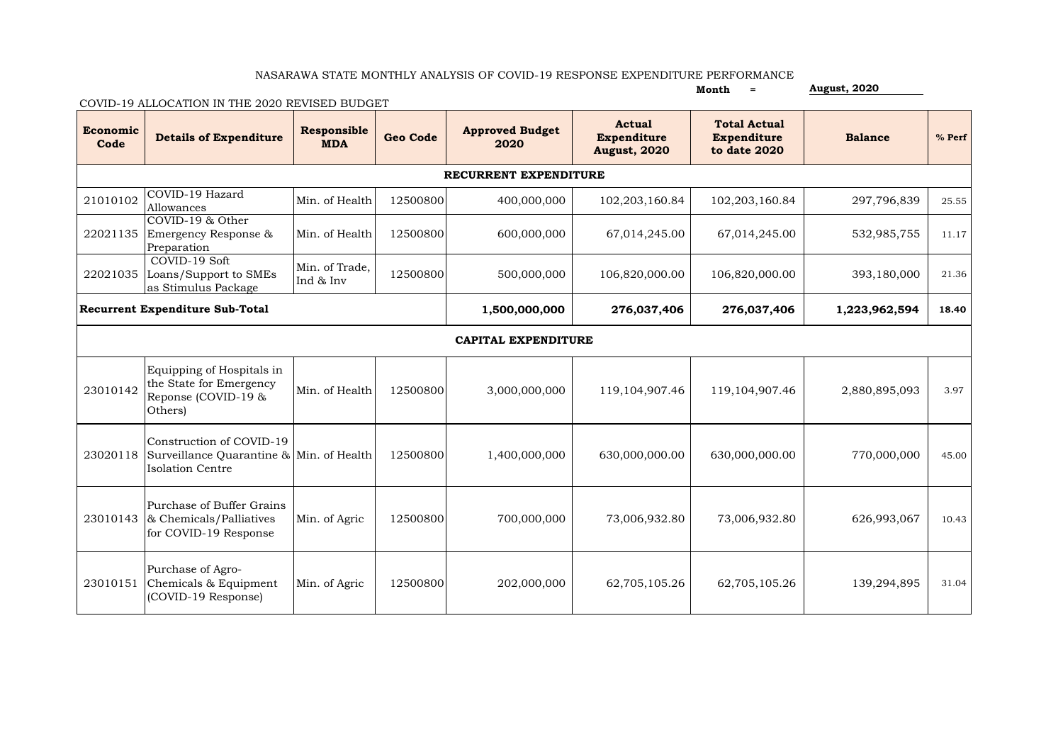## NASARAWA STATE MONTHLY ANALYSIS OF COVID-19 RESPONSE EXPENDITURE PERFORMANCE

**Month = August, 2020**

COVID-19 ALLOCATION IN THE 2020 REVISED BUDGET

| Economic<br>Code                       | <b>Details of Expenditure</b>                                                                            | Responsible<br><b>MDA</b>   | <b>Geo Code</b> | <b>Approved Budget</b><br>2020 | <b>Actual</b><br><b>Expenditure</b><br><b>August, 2020</b> | <b>Total Actual</b><br><b>Expenditure</b><br>to date 2020 | <b>Balance</b> | % Perf |  |
|----------------------------------------|----------------------------------------------------------------------------------------------------------|-----------------------------|-----------------|--------------------------------|------------------------------------------------------------|-----------------------------------------------------------|----------------|--------|--|
| RECURRENT EXPENDITURE                  |                                                                                                          |                             |                 |                                |                                                            |                                                           |                |        |  |
| 21010102                               | COVID-19 Hazard<br>Allowances                                                                            | Min. of Health              | 12500800        | 400,000,000                    | 102,203,160.84                                             | 102,203,160.84                                            | 297,796,839    | 25.55  |  |
| 22021135                               | COVID-19 & Other<br>Emergency Response &<br>Preparation                                                  | Min. of Health              | 12500800        | 600,000,000                    | 67,014,245.00                                              | 67,014,245.00                                             | 532,985,755    | 11.17  |  |
| 22021035                               | COVID-19 Soft<br>Loans/Support to SMEs<br>as Stimulus Package                                            | Min. of Trade.<br>Ind & Inv | 12500800        | 500,000,000                    | 106,820,000.00                                             | 106,820,000.00                                            | 393,180,000    | 21.36  |  |
| <b>Recurrent Expenditure Sub-Total</b> |                                                                                                          |                             |                 | 1,500,000,000                  | 276,037,406                                                | 276,037,406                                               | 1,223,962,594  | 18.40  |  |
| <b>CAPITAL EXPENDITURE</b>             |                                                                                                          |                             |                 |                                |                                                            |                                                           |                |        |  |
| 23010142                               | Equipping of Hospitals in<br>the State for Emergency<br>Reponse (COVID-19 &<br>Others)                   | Min. of Health              | 12500800        | 3,000,000,000                  | 119,104,907.46                                             | 119,104,907.46                                            | 2,880,895,093  | 3.97   |  |
|                                        | Construction of COVID-19<br>23020118 Surveillance Quarantine & Min. of Health<br><b>Isolation Centre</b> |                             | 12500800        | 1,400,000,000                  | 630,000,000.00                                             | 630,000,000.00                                            | 770,000,000    | 45.00  |  |
| 23010143                               | Purchase of Buffer Grains<br>& Chemicals/Palliatives<br>for COVID-19 Response                            | Min. of Agric               | 12500800        | 700,000,000                    | 73,006,932.80                                              | 73,006,932.80                                             | 626,993,067    | 10.43  |  |
| 23010151                               | Purchase of Agro-<br>Chemicals & Equipment<br>(COVID-19 Response)                                        | Min. of Agric               | 12500800        | 202,000,000                    | 62,705,105.26                                              | 62,705,105.26                                             | 139,294,895    | 31.04  |  |